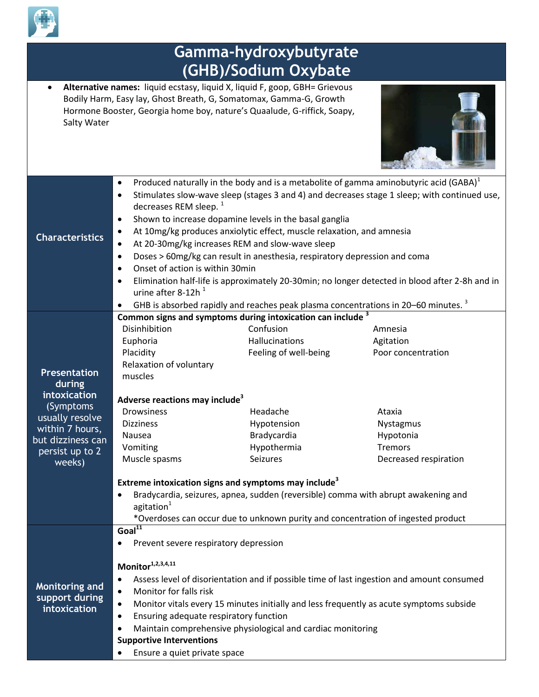

|                                                                                                                                                     | Gamma-hydroxybutyrate                                                                                                                                                                                                                                                                                                                                                                                                                                                                                                                                                                                                                                      |                                                                                                                                                                                                                                                                                                                                                                                                                                                               |                                                                                                                                                                                                |  |  |
|-----------------------------------------------------------------------------------------------------------------------------------------------------|------------------------------------------------------------------------------------------------------------------------------------------------------------------------------------------------------------------------------------------------------------------------------------------------------------------------------------------------------------------------------------------------------------------------------------------------------------------------------------------------------------------------------------------------------------------------------------------------------------------------------------------------------------|---------------------------------------------------------------------------------------------------------------------------------------------------------------------------------------------------------------------------------------------------------------------------------------------------------------------------------------------------------------------------------------------------------------------------------------------------------------|------------------------------------------------------------------------------------------------------------------------------------------------------------------------------------------------|--|--|
| (GHB)/Sodium Oxybate                                                                                                                                |                                                                                                                                                                                                                                                                                                                                                                                                                                                                                                                                                                                                                                                            |                                                                                                                                                                                                                                                                                                                                                                                                                                                               |                                                                                                                                                                                                |  |  |
| Salty Water                                                                                                                                         |                                                                                                                                                                                                                                                                                                                                                                                                                                                                                                                                                                                                                                                            | Alternative names: liquid ecstasy, liquid X, liquid F, goop, GBH= Grievous<br>Bodily Harm, Easy lay, Ghost Breath, G, Somatomax, Gamma-G, Growth<br>Hormone Booster, Georgia home boy, nature's Quaalude, G-riffick, Soapy,                                                                                                                                                                                                                                   |                                                                                                                                                                                                |  |  |
| <b>Characteristics</b>                                                                                                                              | $\bullet$<br>$\bullet$<br>decreases REM sleep. <sup>1</sup><br>$\bullet$<br>$\bullet$<br>$\bullet$<br>$\bullet$<br>Onset of action is within 30min<br>$\bullet$<br>$\bullet$<br>urine after 8-12h <sup>1</sup>                                                                                                                                                                                                                                                                                                                                                                                                                                             | Produced naturally in the body and is a metabolite of gamma aminobutyric acid (GABA) $^1$<br>Shown to increase dopamine levels in the basal ganglia<br>At 10mg/kg produces anxiolytic effect, muscle relaxation, and amnesia<br>At 20-30mg/kg increases REM and slow-wave sleep<br>Doses > 60mg/kg can result in anesthesia, respiratory depression and coma<br>GHB is absorbed rapidly and reaches peak plasma concentrations in 20-60 minutes. <sup>3</sup> | Stimulates slow-wave sleep (stages 3 and 4) and decreases stage 1 sleep; with continued use,<br>Elimination half-life is approximately 20-30min; no longer detected in blood after 2-8h and in |  |  |
| <b>Presentation</b><br>during<br>intoxication<br>(Symptoms)<br>usually resolve<br>within 7 hours,<br>but dizziness can<br>persist up to 2<br>weeks) | Disinhibition<br>Euphoria<br>Placidity<br>Relaxation of voluntary<br>muscles<br>Adverse reactions may include <sup>3</sup><br><b>Drowsiness</b><br><b>Dizziness</b><br>Nausea<br>Vomiting<br>Muscle spasms<br>$\bullet$<br>agitation <sup>1</sup>                                                                                                                                                                                                                                                                                                                                                                                                          | Common signs and symptoms during intoxication can include <sup>3</sup><br>Confusion<br>Hallucinations<br>Feeling of well-being<br>Headache<br>Hypotension<br>Bradycardia<br>Hypothermia<br><b>Seizures</b><br>Extreme intoxication signs and symptoms may include <sup>3</sup><br>Bradycardia, seizures, apnea, sudden (reversible) comma with abrupt awakening and                                                                                           | Amnesia<br>Agitation<br>Poor concentration<br>Ataxia<br>Nystagmus<br>Hypotonia<br><b>Tremors</b><br>Decreased respiration                                                                      |  |  |
| Monitoring and<br>support during<br>intoxication                                                                                                    | *Overdoses can occur due to unknown purity and concentration of ingested product<br>$Goal^{11}$<br>Prevent severe respiratory depression<br>$\bullet$<br>Monitor <sup>1,2,3,4,11</sup><br>Assess level of disorientation and if possible time of last ingestion and amount consumed<br>$\bullet$<br>Monitor for falls risk<br>$\bullet$<br>Monitor vitals every 15 minutes initially and less frequently as acute symptoms subside<br>$\bullet$<br>Ensuring adequate respiratory function<br>$\bullet$<br>Maintain comprehensive physiological and cardiac monitoring<br>٠<br><b>Supportive Interventions</b><br>Ensure a quiet private space<br>$\bullet$ |                                                                                                                                                                                                                                                                                                                                                                                                                                                               |                                                                                                                                                                                                |  |  |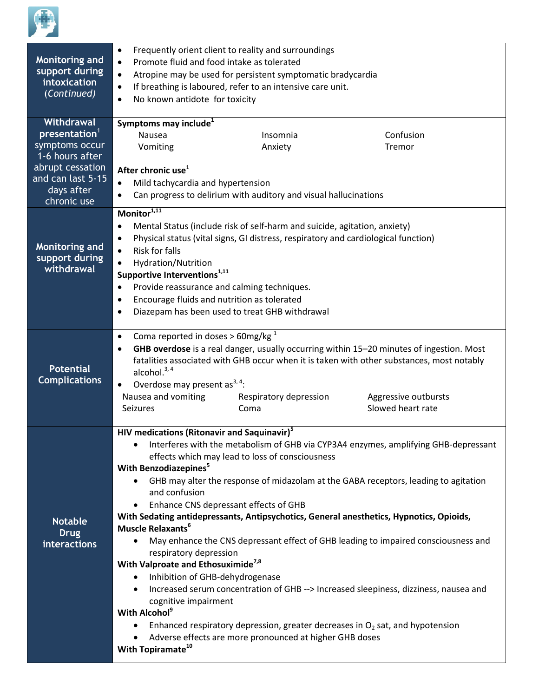

| Monitoring and<br>support during<br>intoxication<br>(Continued)          | Frequently orient client to reality and surroundings<br>$\bullet$<br>Promote fluid and food intake as tolerated<br>$\bullet$<br>Atropine may be used for persistent symptomatic bradycardia<br>$\bullet$<br>If breathing is laboured, refer to an intensive care unit.<br>$\bullet$<br>No known antidote for toxicity<br>$\bullet$ |                                                                                 |                                                                                                                                                                                                                                    |  |  |  |
|--------------------------------------------------------------------------|------------------------------------------------------------------------------------------------------------------------------------------------------------------------------------------------------------------------------------------------------------------------------------------------------------------------------------|---------------------------------------------------------------------------------|------------------------------------------------------------------------------------------------------------------------------------------------------------------------------------------------------------------------------------|--|--|--|
| Withdrawal                                                               | Symptoms may include <sup>1</sup>                                                                                                                                                                                                                                                                                                  |                                                                                 |                                                                                                                                                                                                                                    |  |  |  |
| presentation <sup>1</sup>                                                | Nausea                                                                                                                                                                                                                                                                                                                             | Insomnia                                                                        | Confusion                                                                                                                                                                                                                          |  |  |  |
| symptoms occur<br>1-6 hours after                                        | Vomiting                                                                                                                                                                                                                                                                                                                           | Anxiety                                                                         | Tremor                                                                                                                                                                                                                             |  |  |  |
| abrupt cessation                                                         |                                                                                                                                                                                                                                                                                                                                    |                                                                                 |                                                                                                                                                                                                                                    |  |  |  |
| and can last 5-15                                                        | After chronic use <sup>1</sup><br>Mild tachycardia and hypertension<br>$\bullet$<br>Can progress to delirium with auditory and visual hallucinations<br>$\bullet$                                                                                                                                                                  |                                                                                 |                                                                                                                                                                                                                                    |  |  |  |
| days after                                                               |                                                                                                                                                                                                                                                                                                                                    |                                                                                 |                                                                                                                                                                                                                                    |  |  |  |
| chronic use                                                              |                                                                                                                                                                                                                                                                                                                                    |                                                                                 |                                                                                                                                                                                                                                    |  |  |  |
|                                                                          | Monitor <sup>1,11</sup>                                                                                                                                                                                                                                                                                                            |                                                                                 |                                                                                                                                                                                                                                    |  |  |  |
|                                                                          |                                                                                                                                                                                                                                                                                                                                    |                                                                                 |                                                                                                                                                                                                                                    |  |  |  |
|                                                                          | Mental Status (include risk of self-harm and suicide, agitation, anxiety)<br>$\bullet$                                                                                                                                                                                                                                             |                                                                                 |                                                                                                                                                                                                                                    |  |  |  |
| <b>Monitoring and</b>                                                    | Physical status (vital signs, GI distress, respiratory and cardiological function)<br>$\bullet$                                                                                                                                                                                                                                    |                                                                                 |                                                                                                                                                                                                                                    |  |  |  |
| support during                                                           | <b>Risk for falls</b><br>$\bullet$                                                                                                                                                                                                                                                                                                 |                                                                                 |                                                                                                                                                                                                                                    |  |  |  |
| withdrawal                                                               | Hydration/Nutrition<br>$\bullet$                                                                                                                                                                                                                                                                                                   |                                                                                 |                                                                                                                                                                                                                                    |  |  |  |
|                                                                          | Supportive Interventions <sup>1,11</sup>                                                                                                                                                                                                                                                                                           |                                                                                 |                                                                                                                                                                                                                                    |  |  |  |
|                                                                          | Provide reassurance and calming techniques.<br>$\bullet$                                                                                                                                                                                                                                                                           |                                                                                 |                                                                                                                                                                                                                                    |  |  |  |
|                                                                          | Encourage fluids and nutrition as tolerated<br>$\bullet$                                                                                                                                                                                                                                                                           |                                                                                 |                                                                                                                                                                                                                                    |  |  |  |
|                                                                          | $\bullet$                                                                                                                                                                                                                                                                                                                          | Diazepam has been used to treat GHB withdrawal                                  |                                                                                                                                                                                                                                    |  |  |  |
|                                                                          |                                                                                                                                                                                                                                                                                                                                    |                                                                                 |                                                                                                                                                                                                                                    |  |  |  |
| <b>Potential</b><br><b>Complications</b>                                 | Coma reported in doses > 60mg/kg $^1$<br>$\bullet$<br>٠<br>alcohol. $3, 4$<br>Overdose may present as <sup>3, 4</sup> :<br>$\bullet$<br>Nausea and vomiting<br><b>Seizures</b>                                                                                                                                                     | Respiratory depression<br>Coma                                                  | GHB overdose is a real danger, usually occurring within 15-20 minutes of ingestion. Most<br>fatalities associated with GHB occur when it is taken with other substances, most notably<br>Aggressive outbursts<br>Slowed heart rate |  |  |  |
|                                                                          |                                                                                                                                                                                                                                                                                                                                    |                                                                                 |                                                                                                                                                                                                                                    |  |  |  |
|                                                                          | HIV medications (Ritonavir and Saquinavir) <sup>5</sup>                                                                                                                                                                                                                                                                            |                                                                                 |                                                                                                                                                                                                                                    |  |  |  |
|                                                                          | Interferes with the metabolism of GHB via CYP3A4 enzymes, amplifying GHB-depressant                                                                                                                                                                                                                                                |                                                                                 |                                                                                                                                                                                                                                    |  |  |  |
|                                                                          | effects which may lead to loss of consciousness                                                                                                                                                                                                                                                                                    |                                                                                 |                                                                                                                                                                                                                                    |  |  |  |
|                                                                          | With Benzodiazepines <sup>5</sup>                                                                                                                                                                                                                                                                                                  |                                                                                 |                                                                                                                                                                                                                                    |  |  |  |
|                                                                          | GHB may alter the response of midazolam at the GABA receptors, leading to agitation                                                                                                                                                                                                                                                |                                                                                 |                                                                                                                                                                                                                                    |  |  |  |
|                                                                          | and confusion                                                                                                                                                                                                                                                                                                                      |                                                                                 |                                                                                                                                                                                                                                    |  |  |  |
|                                                                          | Enhance CNS depressant effects of GHB<br>$\bullet$                                                                                                                                                                                                                                                                                 |                                                                                 |                                                                                                                                                                                                                                    |  |  |  |
| <b>Notable</b>                                                           | With Sedating antidepressants, Antipsychotics, General anesthetics, Hypnotics, Opioids,<br>Muscle Relaxants <sup>6</sup>                                                                                                                                                                                                           |                                                                                 |                                                                                                                                                                                                                                    |  |  |  |
| <b>Drug</b>                                                              |                                                                                                                                                                                                                                                                                                                                    |                                                                                 |                                                                                                                                                                                                                                    |  |  |  |
| interactions                                                             | May enhance the CNS depressant effect of GHB leading to impaired consciousness and<br>$\bullet$                                                                                                                                                                                                                                    |                                                                                 |                                                                                                                                                                                                                                    |  |  |  |
| respiratory depression<br>With Valproate and Ethosuximide <sup>7,8</sup> |                                                                                                                                                                                                                                                                                                                                    |                                                                                 |                                                                                                                                                                                                                                    |  |  |  |
|                                                                          |                                                                                                                                                                                                                                                                                                                                    |                                                                                 |                                                                                                                                                                                                                                    |  |  |  |
|                                                                          | Inhibition of GHB-dehydrogenase                                                                                                                                                                                                                                                                                                    |                                                                                 |                                                                                                                                                                                                                                    |  |  |  |
|                                                                          | Increased serum concentration of GHB --> Increased sleepiness, dizziness, nausea and<br>$\bullet$                                                                                                                                                                                                                                  |                                                                                 |                                                                                                                                                                                                                                    |  |  |  |
|                                                                          |                                                                                                                                                                                                                                                                                                                                    |                                                                                 | cognitive impairment                                                                                                                                                                                                               |  |  |  |
|                                                                          |                                                                                                                                                                                                                                                                                                                                    |                                                                                 |                                                                                                                                                                                                                                    |  |  |  |
|                                                                          | With Alcohol <sup>9</sup>                                                                                                                                                                                                                                                                                                          |                                                                                 |                                                                                                                                                                                                                                    |  |  |  |
|                                                                          |                                                                                                                                                                                                                                                                                                                                    | Enhanced respiratory depression, greater decreases in $O2$ sat, and hypotension |                                                                                                                                                                                                                                    |  |  |  |
|                                                                          | With Topiramate <sup>10</sup>                                                                                                                                                                                                                                                                                                      | Adverse effects are more pronounced at higher GHB doses                         |                                                                                                                                                                                                                                    |  |  |  |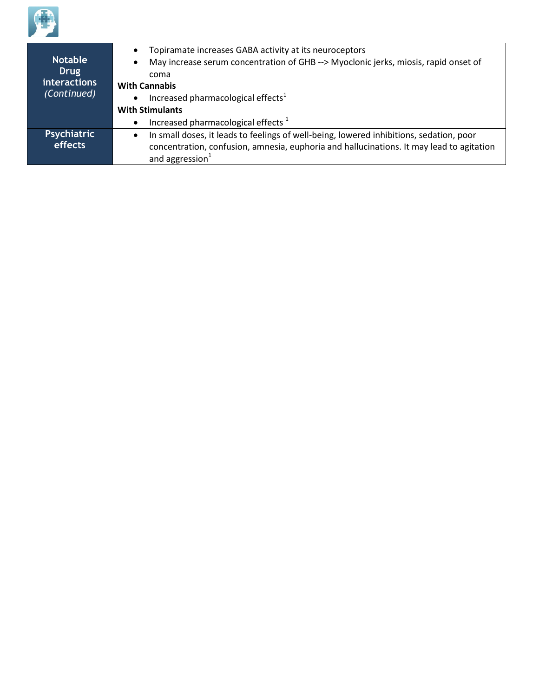

| <b>Notable</b><br><b>Drug</b> | Topiramate increases GABA activity at its neuroceptors<br>$\bullet$                                  |  |  |
|-------------------------------|------------------------------------------------------------------------------------------------------|--|--|
|                               | May increase serum concentration of GHB --> Myoclonic jerks, miosis, rapid onset of<br>$\bullet$     |  |  |
|                               | coma                                                                                                 |  |  |
| <i>interactions</i>           |                                                                                                      |  |  |
| (Continued)                   | <b>With Cannabis</b>                                                                                 |  |  |
|                               | Increased pharmacological effects <sup>1</sup><br>$\bullet$                                          |  |  |
|                               | <b>With Stimulants</b>                                                                               |  |  |
|                               | Increased pharmacological effects <sup>1</sup><br>$\bullet$                                          |  |  |
| <b>Psychiatric</b>            | In small doses, it leads to feelings of well-being, lowered inhibitions, sedation, poor<br>$\bullet$ |  |  |
| effects                       | concentration, confusion, amnesia, euphoria and hallucinations. It may lead to agitation             |  |  |
|                               |                                                                                                      |  |  |
|                               | and aggression <sup>1</sup>                                                                          |  |  |